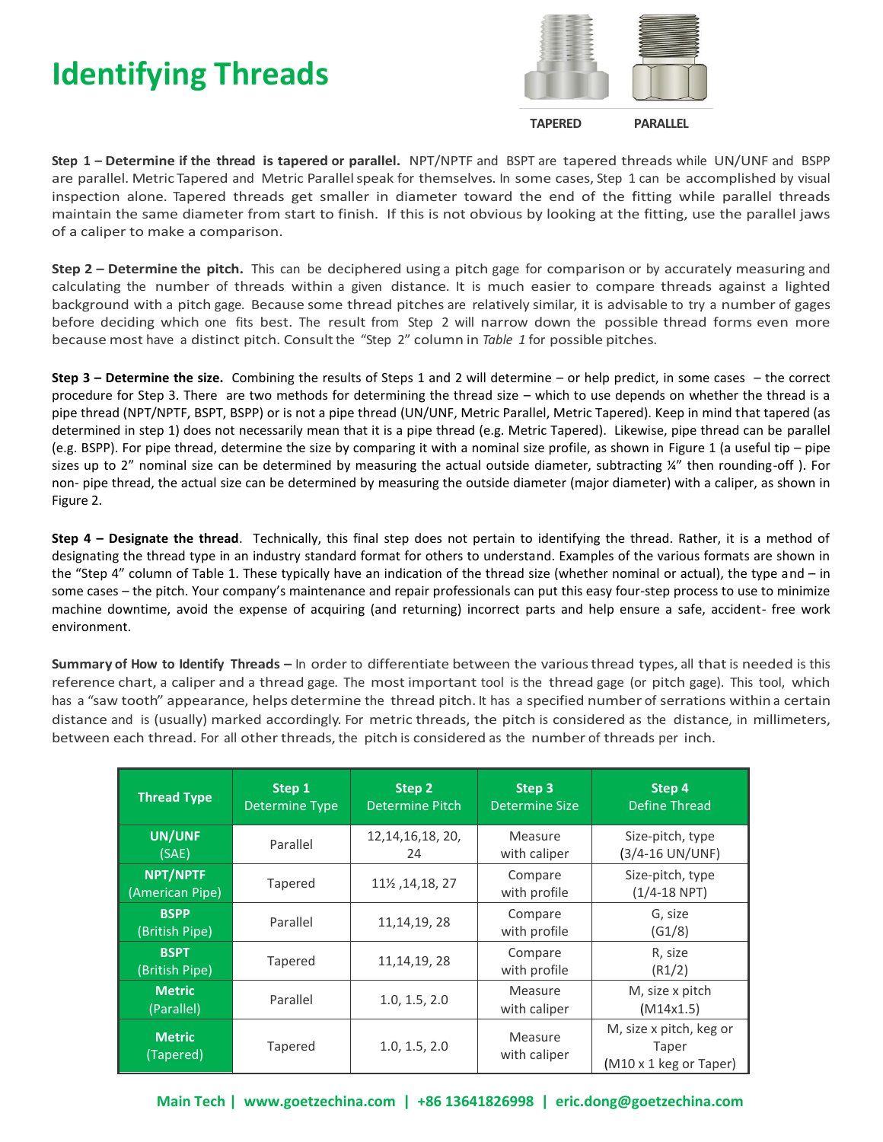## **Identifying Threads**



 **TAPERED PARALLEL** 

**Step 1 – Determine if the thread is tapered or parallel.** NPT/NPTF and BSPT are tapered threads while UN/UNF and BSPP are parallel. Metric Tapered and Metric Parallel speak for themselves. In some cases, Step 1 can be accomplished by visual inspection alone. Tapered threads get smaller in diameter toward the end of the fitting while parallel threads maintain the same diameter from start to finish. If this is not obvious by looking at the fitting, use the parallel jaws of a caliper to make a comparison.

**Step 2 – Determine the pitch.** This can be deciphered using a pitch gage for comparison or by accurately measuring and calculating the number of threads within a given distance. It is much easier to compare threads against a lighted background with a pitch gage. Because some thread pitches are relatively similar, it is advisable to try a number of gages before deciding which one fits best. The result from Step 2 will narrow down the possible thread forms even more because most have a distinct pitch. Consult the "Step 2" column in *Table 1* for possible pitches.

**Step 3 – Determine the size.** Combining the results of Steps 1 and 2 will determine – or help predict, in some cases – the correct procedure for Step 3. There are two methods for determining the thread size – which to use depends on whether the thread is a pipe thread (NPT/NPTF, BSPT, BSPP) or is not a pipe thread (UN/UNF, Metric Parallel, Metric Tapered). Keep in mind that tapered (as determined in step 1) does not necessarily mean that it is a pipe thread (e.g. Metric Tapered). Likewise, pipe thread can be parallel (e.g. BSPP). For pipe thread, determine the size by comparing it with a nominal size profile, as shown in Figure 1 (a useful tip – pipe sizes up to 2" nominal size can be determined by measuring the actual outside diameter, subtracting ¼" then rounding-off ). For non- pipe thread, the actual size can be determined by measuring the outside diameter (major diameter) with a caliper, as shown in Figure 2.

**Step 4 – Designate the thread**. Technically, this final step does not pertain to identifying the thread. Rather, it is a method of designating the thread type in an industry standard format for others to understand. Examples of the various formats are shown in the "Step 4" column of Table 1. These typically have an indication of the thread size (whether nominal or actual), the type and – in some cases – the pitch. Your company's maintenance and repair professionals can put this easy four-step process to use to minimize machine downtime, avoid the expense of acquiring (and returning) incorrect parts and help ensure a safe, accident- free work environment.

**Summary of How to Identify Threads –** In order to differentiate between the various thread types, all that is needed is this reference chart, a caliper and a thread gage. The most important tool is the thread gage (or pitch gage). This tool, which has a "saw tooth" appearance, helps determine the thread pitch. It has a specified number of serrations within a certain distance and is (usually) marked accordingly. For metric threads, the pitch is considered as the distance, in millimeters, between each thread. For all other threads, the pitch is considered as the number of threads per inch.

| <b>Thread Type</b>            | Step 1<br><b>Determine Type</b> | Step 2<br><b>Determine Pitch</b> | Step 3<br><b>Determine Size</b> | Step 4<br>Define Thread                                    |  |  |
|-------------------------------|---------------------------------|----------------------------------|---------------------------------|------------------------------------------------------------|--|--|
| UN/UNF<br>(SAE)               | Parallel                        | 12, 14, 16, 18, 20,<br>24        | Measure<br>with caliper         | Size-pitch, type<br>(3/4-16 UN/UNF)                        |  |  |
| NPT/NPTF<br>(American Pipe)   | Tapered                         | 11½, 14, 18, 27                  | Compare<br>with profile         | Size-pitch, type<br>$(1/4 - 18$ NPT)                       |  |  |
| <b>BSPP</b><br>(British Pipe) | Parallel                        | 11, 14, 19, 28                   | Compare<br>with profile         | G, size<br>(G1/8)                                          |  |  |
| <b>BSPT</b><br>(British Pipe) | Tapered                         | 11, 14, 19, 28                   | Compare<br>with profile         | R, size<br>(R1/2)                                          |  |  |
| <b>Metric</b><br>(Parallel)   | Parallel                        | 1.0, 1.5, 2.0                    | Measure<br>with caliper         | M, size x pitch<br>(M14x1.5)                               |  |  |
| <b>Metric</b><br>(Tapered)    | Tapered                         | 1.0, 1.5, 2.0                    | Measure<br>with caliper         | M, size x pitch, keg or<br>Taper<br>(M10 x 1 keg or Taper) |  |  |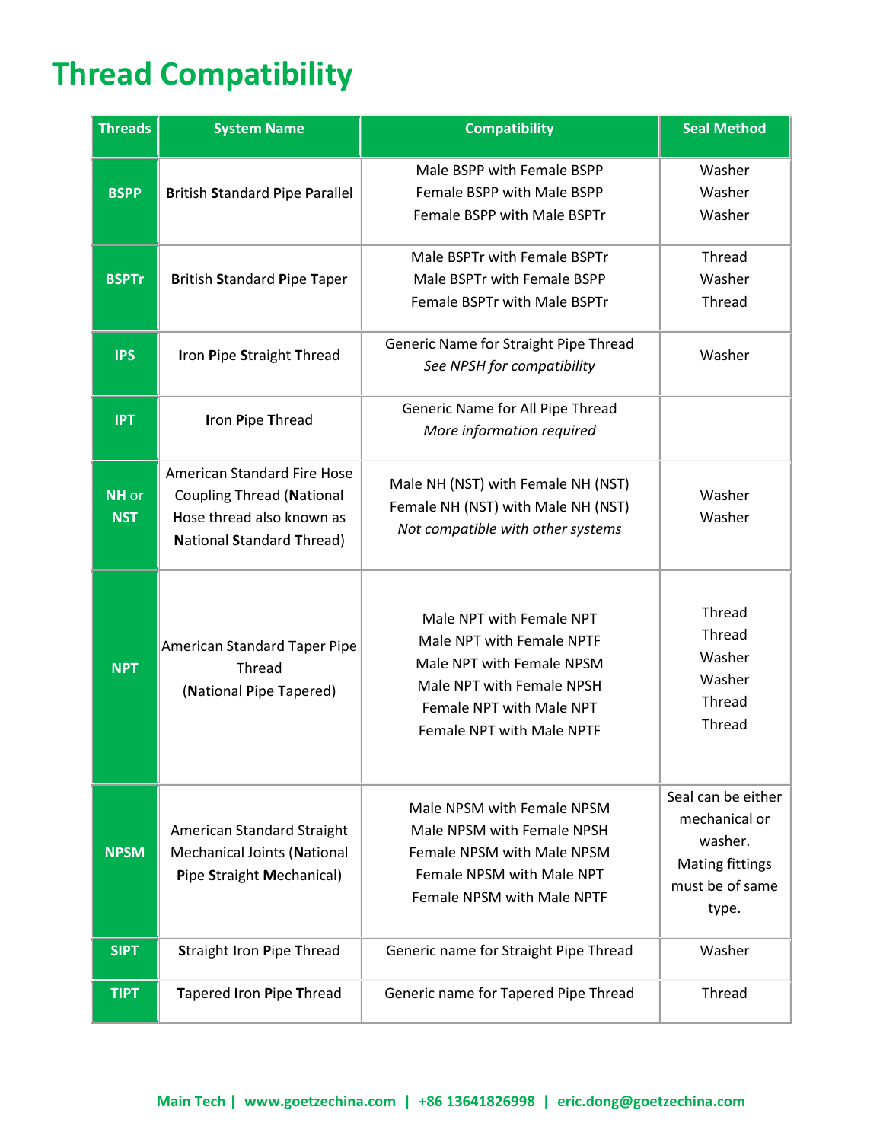# **Thread Compatibility**

| <b>Threads</b>      | <b>System Name</b>                                                                                                               | <b>Compatibility</b>                                                                                                                                                     | <b>Seal Method</b>                                                                                   |  |  |
|---------------------|----------------------------------------------------------------------------------------------------------------------------------|--------------------------------------------------------------------------------------------------------------------------------------------------------------------------|------------------------------------------------------------------------------------------------------|--|--|
| <b>BSPP</b>         | <b>British Standard Pipe Parallel</b>                                                                                            | Male BSPP with Female BSPP<br>Female BSPP with Male BSPP<br>Female BSPP with Male BSPTr                                                                                  | Washer<br>Washer<br>Washer                                                                           |  |  |
| <b>BSPTr</b>        | <b>British Standard Pipe Taper</b>                                                                                               | Male BSPTr with Female BSPTr<br>Male BSPTr with Female BSPP<br>Female BSPTr with Male BSPTr                                                                              | Thread<br>Washer<br><b>Thread</b>                                                                    |  |  |
| <b>IPS</b>          | Iron Pipe Straight Thread                                                                                                        | Generic Name for Straight Pipe Thread<br>See NPSH for compatibility                                                                                                      | Washer                                                                                               |  |  |
| <b>IPT</b>          | Iron Pipe Thread                                                                                                                 | Generic Name for All Pipe Thread<br>More information required                                                                                                            |                                                                                                      |  |  |
| NH or<br><b>NST</b> | American Standard Fire Hose<br><b>Coupling Thread (National</b><br>Hose thread also known as<br><b>National Standard Thread)</b> | Male NH (NST) with Female NH (NST)<br>Female NH (NST) with Male NH (NST)<br>Not compatible with other systems                                                            | Washer<br>Washer                                                                                     |  |  |
| <b>NPT</b>          | American Standard Taper Pipe<br>Thread<br>(National Pipe Tapered)                                                                | Male NPT with Female NPT<br>Male NPT with Female NPTF<br>Male NPT with Female NPSM<br>Male NPT with Female NPSH<br>Female NPT with Male NPT<br>Female NPT with Male NPTF | Thread<br>Thread<br>Washer<br>Washer<br>Thread<br>Thread                                             |  |  |
| <b>NPSM</b>         | American Standard Straight<br><b>Mechanical Joints (National</b><br>Pipe Straight Mechanical)                                    | Male NPSM with Female NPSM<br>Male NPSM with Female NPSH<br>Female NPSM with Male NPSM<br>Female NPSM with Male NPT<br>Female NPSM with Male NPTF                        | Seal can be either<br>mechanical or<br>washer.<br><b>Mating fittings</b><br>must be of same<br>type. |  |  |
| <b>SIPT</b>         | <b>Straight Iron Pipe Thread</b>                                                                                                 | Generic name for Straight Pipe Thread                                                                                                                                    | Washer                                                                                               |  |  |
| <b>TIPT</b>         | Tapered Iron Pipe Thread                                                                                                         | Generic name for Tapered Pipe Thread                                                                                                                                     | Thread                                                                                               |  |  |